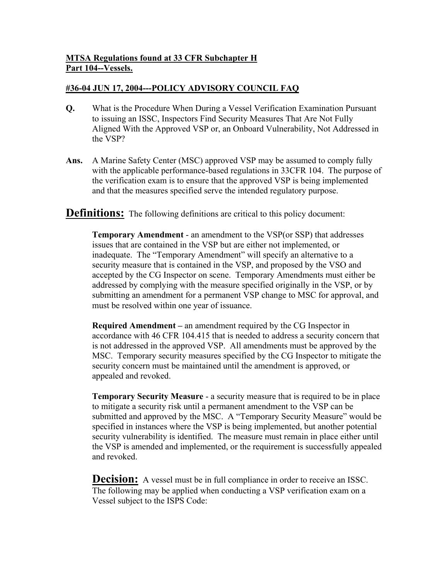## **MTSA Regulations found at 33 CFR Subchapter H Part 104--Vessels.**

## **#36-04 JUN 17, 2004---POLICY ADVISORY COUNCIL FAQ**

- **Q.** What is the Procedure When During a Vessel Verification Examination Pursuant to issuing an ISSC, Inspectors Find Security Measures That Are Not Fully Aligned With the Approved VSP or, an Onboard Vulnerability, Not Addressed in the VSP?
- **Ans.** A Marine Safety Center (MSC) approved VSP may be assumed to comply fully with the applicable performance-based regulations in 33CFR 104. The purpose of the verification exam is to ensure that the approved VSP is being implemented and that the measures specified serve the intended regulatory purpose.

**Definitions:** The following definitions are critical to this policy document:

**Temporary Amendment** - an amendment to the VSP(or SSP) that addresses issues that are contained in the VSP but are either not implemented, or inadequate. The "Temporary Amendment" will specify an alternative to a security measure that is contained in the VSP, and proposed by the VSO and accepted by the CG Inspector on scene. Temporary Amendments must either be addressed by complying with the measure specified originally in the VSP, or by submitting an amendment for a permanent VSP change to MSC for approval, and must be resolved within one year of issuance.

**Required Amendment –** an amendment required by the CG Inspector in accordance with 46 CFR 104.415 that is needed to address a security concern that is not addressed in the approved VSP. All amendments must be approved by the MSC. Temporary security measures specified by the CG Inspector to mitigate the security concern must be maintained until the amendment is approved, or appealed and revoked.

**Temporary Security Measure** - a security measure that is required to be in place to mitigate a security risk until a permanent amendment to the VSP can be submitted and approved by the MSC. A "Temporary Security Measure" would be specified in instances where the VSP is being implemented, but another potential security vulnerability is identified. The measure must remain in place either until the VSP is amended and implemented, or the requirement is successfully appealed and revoked.

**Decision:** A vessel must be in full compliance in order to receive an ISSC. The following may be applied when conducting a VSP verification exam on a Vessel subject to the ISPS Code: